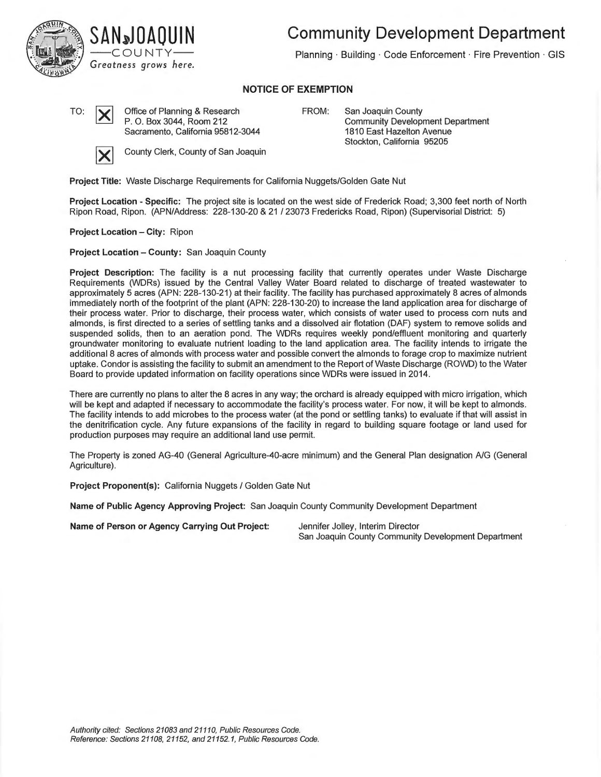



**Community Development Department** 

Planning · Building · Code Enforcement · Fire Prevention · GIS

## **NOTICE OF EXEMPTION**

TO:  $\boxed{\smile}$  Office of Planning & Research P. 0. Box 3044, Room 212 Sacramento, California 95812-3044 FROM: San Joaquin County Community Development Department 1810 East Hazelton Avenue Stockton, California 95205



**County Clerk, County of San Joaquin** 

**Project Title:** Waste Discharge Requirements for California Nuggets/Golden Gate Nut

**Project Location - Specific:** The project site is located on the west side of Frederick Road; 3,300 feet north of North Ripon Road, Ripon. (APN/Address: 228-130-20 & 21 / 23073 Fredericks Road, Ripon) (Supervisorial District: 5)

**Project Location - City: Ripon** 

**Project Location - County:** San Joaquin County

**Project Description:** The facility is a nut processing facility that currently operates under Waste Discharge Requirements (WDRs) issued by the Central Valley Water Board related to discharge of treated wastewater to approximately 5 acres (APN: 228-130-21) at their facility. The facility has purchased approximately 8 acres of almonds immediately north of the footprint of the plant (APN: 228-130-20) to increase the land application area for discharge of their process water. Prior to discharge, their process water, which consists of water used to process corn nuts and almonds, is first directed to a series of settling tanks and a dissolved air flotation (OAF) system to remove solids and suspended solids, then to an aeration pond. The WDRs requires weekly pond/effluent monitoring and quarterly groundwater monitoring to evaluate nutrient loading to the land application area. The facility intends to irrigate the additional 8 acres of almonds with process water and possible convert the almonds to forage crop to maximize nutrient uptake. Condor is assisting the facility to submit an amendment to the Report of Waste Discharge (ROWD) to the Water Board to provide updated information on facility operations since WDRs were issued in 2014.

There are currently no plans to alter the 8 acres in any way; the orchard is already equipped with micro irrigation, which will be kept and adapted if necessary to accommodate the facility's process water. For now, it will be kept to almonds. The facility intends to add microbes to the process water (at the pond or settling tanks) to evaluate if that will assist in the denitrification cycle. Any future expansions of the facility in regard to building square footage or land used for production purposes may require an additional land use permit.

The Property is zoned AG-40 (General Agriculture-40-acre minimum) and the General Plan designation A/G (General Agriculture).

**Project Proponent(s):** California Nuggets/ Golden Gate Nut

**Name of Public Agency Approving Project:** San Joaquin County Community Development Department

**Name of Person or Agency Carrying Out Project:** Jennifer Jolley, Interim Director

San Joaquin County Community Development Department